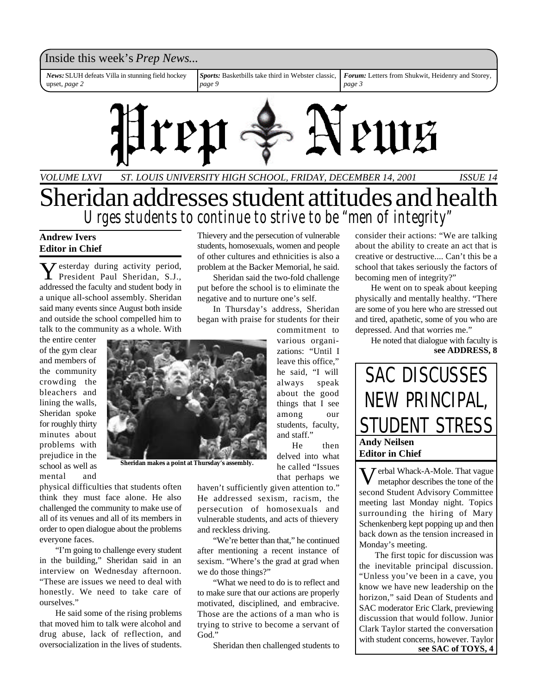### Inside this week's *Prep News*...

*News:*SLUH defeats Villa in stunning field hockey upset, *page 2*

*Sports:* Basketbills take third in Webster classic, *page 9*

*Forum:* Letters from Shukwit, Heidenry and Storey, *page 3*



*VOLUME LXVI ST. LOUIS UNIVERSITY HIGH SCHOOL, FRIDAY, DECEMBER 14, 2001 ISSUE 14*

# Sheridan addresses student attitudes and health *Urges students to continue to strive to be "men of integrity"*

#### **Andrew Ivers Editor in Chief**

Y esterday during activity period, President Paul Sheridan, S.J., addressed the faculty and student body in a unique all-school assembly. Sheridan said many events since August both inside and outside the school compelled him to talk to the community as a whole. With

the entire center of the gym clear and members of the community crowding the bleachers and lining the walls, Sheridan spoke for roughly thirty minutes about problems with prejudice in the school as well as mental and



**Sheridan makes a point at Thursday's assembly.**

physical difficulties that students often think they must face alone. He also challenged the community to make use of all of its venues and all of its members in order to open dialogue about the problems everyone faces.

"I'm going to challenge every student in the building," Sheridan said in an interview on Wednesday afternoon. "These are issues we need to deal with honestly. We need to take care of ourselves."

He said some of the rising problems that moved him to talk were alcohol and drug abuse, lack of reflection, and oversocialization in the lives of students.

Thievery and the persecution of vulnerable students, homosexuals, women and people of other cultures and ethnicities is also a problem at the Backer Memorial, he said.

Sheridan said the two-fold challenge put before the school is to eliminate the negative and to nurture one's self.

In Thursday's address, Sheridan began with praise for students for their

commitment to various organizations: "Until I leave this office," he said, "I will always speak about the good things that I see among our students, faculty, and staff."

He then delved into what he called "Issues that perhaps we

haven't sufficiently given attention to." He addressed sexism, racism, the persecution of homosexuals and vulnerable students, and acts of thievery and reckless driving.

"We're better than that," he continued after mentioning a recent instance of sexism. "Where's the grad at grad when we do those things?"

"What we need to do is to reflect and to make sure that our actions are properly motivated, disciplined, and embracive. Those are the actions of a man who is trying to strive to become a servant of God."

Sheridan then challenged students to

consider their actions: "We are talking about the ability to create an act that is creative or destructive.... Can't this be a school that takes seriously the factors of becoming men of integrity?"

He went on to speak about keeping physically and mentally healthy. "There are some of you here who are stressed out and tired, apathetic, some of you who are depressed. And that worries me."

**see ADDRESS, 8** He noted that dialogue with faculty is



V erbal Whack-A-Mole. That vague metaphor describes the tone of the second Student Advisory Committee meeting last Monday night. Topics surrounding the hiring of Mary Schenkenberg kept popping up and then back down as the tension increased in Monday's meeting.

The first topic for discussion was the inevitable principal discussion. "Unless you've been in a cave, you know we have new leadership on the horizon," said Dean of Students and SAC moderator Eric Clark, previewing discussion that would follow. Junior Clark Taylor started the conversation with student concerns, however. Taylor **see SAC of TOYS, 4**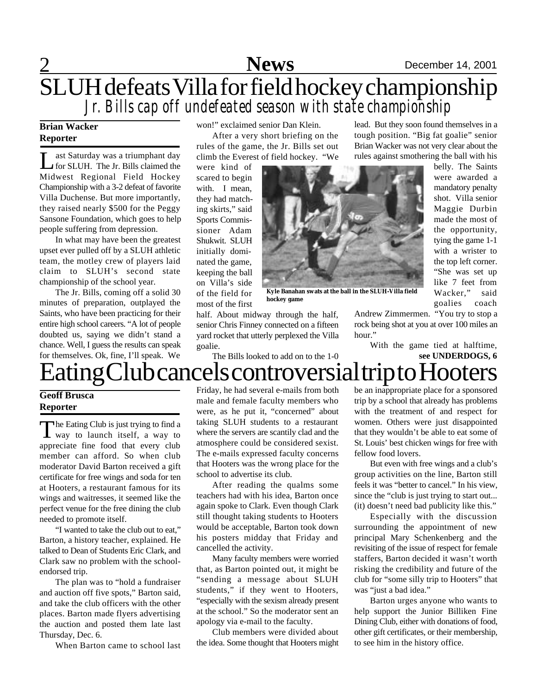# 2 **Sports News** December 14, 2001 SLUH defeats Villa for field hockey championship *Jr. Bills cap off undefeated season with state championship*

### **Brian Wacker Reporter**

 $\prod_{\alpha\in\mathbb{Z}}$ ast Saturday was a triumphant day for SLUH. The Jr. Bills claimed the Midwest Regional Field Hockey Championship with a 3-2 defeat of favorite Villa Duchense. But more importantly, they raised nearly \$500 for the Peggy Sansone Foundation, which goes to help people suffering from depression.

In what may have been the greatest upset ever pulled off by a SLUH athletic team, the motley crew of players laid claim to SLUH's second state championship of the school year.

The Jr. Bills, coming off a solid 30 minutes of preparation, outplayed the Saints, who have been practicing for their entire high school careers. "A lot of people doubted us, saying we didn't stand a chance. Well, I guess the results can speak for themselves. Ok, fine, I'll speak. We

won!" exclaimed senior Dan Klein.

After a very short briefing on the rules of the game, the Jr. Bills set out climb the Everest of field hockey. "We

were kind of scared to begin with. I mean, they had matching skirts," said Sports Commissioner Adam Shukwit. SLUH initially dominated the game, keeping the ball on Villa's side of the field for most of the first



**Kyle Banahan swats at the ball in the SLUH-Villa field hockey game**

half. About midway through the half, senior Chris Finney connected on a fifteen yard rocket that utterly perplexed the Villa goalie.

The Bills looked to add on to the 1-0

lead. But they soon found themselves in a tough position. "Big fat goalie" senior Brian Wacker was not very clear about the rules against smothering the ball with his

belly. The Saints were awarded a mandatory penalty shot. Villa senior Maggie Durbin made the most of the opportunity, tying the game 1-1 with a wrister to the top left corner. "She was set up like 7 feet from Wacker," said goalies coach

Andrew Zimmermen. "You try to stop a rock being shot at you at over 100 miles an hour."

With the game tied at halftime, **see UNDERDOGS, 6**

# ating Club cancels controversial trip to Hooters

#### **Geoff Brusca Reporter**

The Eating Club is just trying to find a<br>way to launch itself, a way to he Eating Club is just trying to find a appreciate fine food that every club member can afford. So when club moderator David Barton received a gift certificate for free wings and soda for ten at Hooters, a restaurant famous for its wings and waitresses, it seemed like the perfect venue for the free dining the club needed to promote itself.

"I wanted to take the club out to eat," Barton, a history teacher, explained. He talked to Dean of Students Eric Clark, and Clark saw no problem with the schoolendorsed trip.

The plan was to "hold a fundraiser and auction off five spots," Barton said, and take the club officers with the other places. Barton made flyers advertising the auction and posted them late last Thursday, Dec. 6.

When Barton came to school last

Friday, he had several e-mails from both male and female faculty members who were, as he put it, "concerned" about taking SLUH students to a restaurant where the servers are scantily clad and the atmosphere could be considered sexist. The e-mails expressed faculty concerns that Hooters was the wrong place for the school to advertise its club.

After reading the qualms some teachers had with his idea, Barton once again spoke to Clark. Even though Clark still thought taking students to Hooters would be acceptable, Barton took down his posters midday that Friday and cancelled the activity.

Many faculty members were worried that, as Barton pointed out, it might be "sending a message about SLUH students," if they went to Hooters, "especially with the sexism already present at the school." So the moderator sent an apology via e-mail to the faculty.

Club members were divided about the idea. Some thought that Hooters might be an inappropriate place for a sponsored trip by a school that already has problems with the treatment of and respect for women. Others were just disappointed that they wouldn't be able to eat some of St. Louis' best chicken wings for free with fellow food lovers.

But even with free wings and a club's group activities on the line, Barton still feels it was "better to cancel." In his view, since the "club is just trying to start out... (it) doesn't need bad publicity like this."

Especially with the discussion surrounding the appointment of new principal Mary Schenkenberg and the revisiting of the issue of respect for female staffers, Barton decided it wasn't worth risking the credibility and future of the club for "some silly trip to Hooters" that was "just a bad idea."

Barton urges anyone who wants to help support the Junior Billiken Fine Dining Club, either with donations of food, other gift certificates, or their membership, to see him in the history office.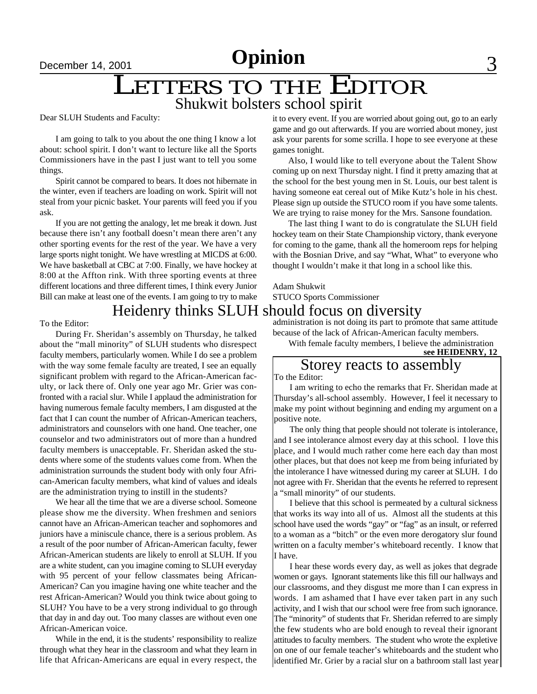# Shukwit bolsters school spirit LETTERS TO THE EDITOR

Dear SLUH Students and Faculty:

I am going to talk to you about the one thing I know a lot about: school spirit. I don't want to lecture like all the Sports Commissioners have in the past I just want to tell you some things.

Spirit cannot be compared to bears. It does not hibernate in the winter, even if teachers are loading on work. Spirit will not steal from your picnic basket. Your parents will feed you if you ask.

If you are not getting the analogy, let me break it down. Just because there isn't any football doesn't mean there aren't any other sporting events for the rest of the year. We have a very large sports night tonight. We have wrestling at MICDS at 6:00. We have basketball at CBC at 7:00. Finally, we have hockey at 8:00 at the Affton rink. With three sporting events at three different locations and three different times, I think every Junior Bill can make at least one of the events. I am going to try to make

### Heidenry thinks SLUH should focus on diversity

#### To the Editor:

During Fr. Sheridan's assembly on Thursday, he talked about the "mall minority" of SLUH students who disrespect faculty members, particularly women. While I do see a problem with the way some female faculty are treated, I see an equally significant problem with regard to the African-American faculty, or lack there of. Only one year ago Mr. Grier was confronted with a racial slur. While I applaud the administration for having numerous female faculty members, I am disgusted at the fact that I can count the number of African-American teachers, administrators and counselors with one hand. One teacher, one counselor and two administrators out of more than a hundred faculty members is unacceptable. Fr. Sheridan asked the students where some of the students values come from. When the administration surrounds the student body with only four African-American faculty members, what kind of values and ideals are the administration trying to instill in the students?

We hear all the time that we are a diverse school. Someone please show me the diversity. When freshmen and seniors cannot have an African-American teacher and sophomores and juniors have a miniscule chance, there is a serious problem. As a result of the poor number of African-American faculty, fewer African-American students are likely to enroll at SLUH. If you are a white student, can you imagine coming to SLUH everyday with 95 percent of your fellow classmates being African-American? Can you imagine having one white teacher and the rest African-American? Would you think twice about going to SLUH? You have to be a very strong individual to go through that day in and day out. Too many classes are without even one African-American voice.

While in the end, it is the students' responsibility to realize through what they hear in the classroom and what they learn in life that African-Americans are equal in every respect, the it to every event. If you are worried about going out, go to an early game and go out afterwards. If you are worried about money, just ask your parents for some scrilla. I hope to see everyone at these games tonight.

Also, I would like to tell everyone about the Talent Show coming up on next Thursday night. I find it pretty amazing that at the school for the best young men in St. Louis, our best talent is having someone eat cereal out of Mike Kutz's hole in his chest. Please sign up outside the STUCO room if you have some talents. We are trying to raise money for the Mrs. Sansone foundation.

The last thing I want to do is congratulate the SLUH field hockey team on their State Championship victory, thank everyone for coming to the game, thank all the homeroom reps for helping with the Bosnian Drive, and say "What, What" to everyone who thought I wouldn't make it that long in a school like this.

### Adam Shukwit STUCO Sports Commissioner

administration is not doing its part to promote that same attitude because of the lack of African-American faculty members.

With female faculty members, I believe the administration

**see HEIDENRY, 12**

### Storey reacts to assembly

To the Editor:

I am writing to echo the remarks that Fr. Sheridan made at Thursday's all-school assembly. However, I feel it necessary to make my point without beginning and ending my argument on a positive note.

The only thing that people should not tolerate is intolerance, and I see intolerance almost every day at this school. I love this place, and I would much rather come here each day than most other places, but that does not keep me from being infuriated by the intolerance I have witnessed during my career at SLUH. I do not agree with Fr. Sheridan that the events he referred to represent a "small minority" of our students.

I believe that this school is permeated by a cultural sickness that works its way into all of us. Almost all the students at this school have used the words "gay" or "fag" as an insult, or referred to a woman as a "bitch" or the even more derogatory slur found written on a faculty member's whiteboard recently. I know that I have.

I hear these words every day, as well as jokes that degrade women or gays. Ignorant statements like this fill our hallways and our classrooms, and they disgust me more than I can express in words. I am ashamed that I have ever taken part in any such activity, and I wish that our school were free from such ignorance. The "minority" of students that Fr. Sheridan referred to are simply the few students who are bold enough to reveal their ignorant attitudes to faculty members. The student who wrote the expletive on one of our female teacher's whiteboards and the student who identified Mr. Grier by a racial slur on a bathroom stall last year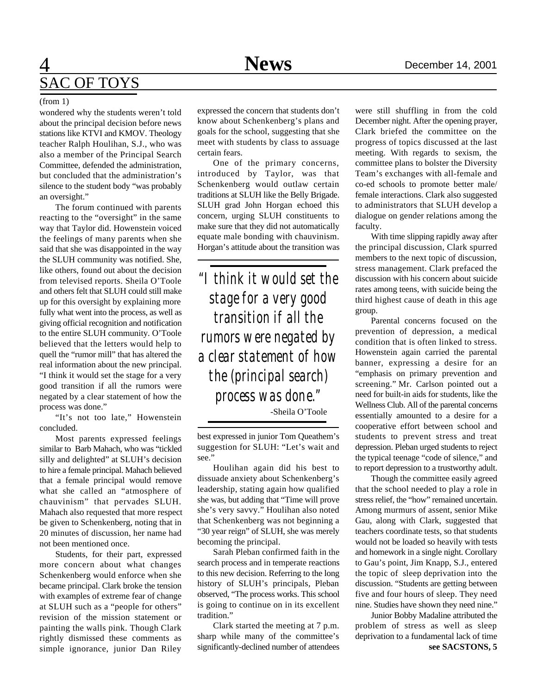# 4 **Opinion Sports** December 14, 2001 SAC OF TOYS

#### (from 1)

wondered why the students weren't told about the principal decision before news stations like KTVI and KMOV. Theology teacher Ralph Houlihan, S.J., who was also a member of the Principal Search Committee, defended the administration, but concluded that the administration's silence to the student body "was probably an oversight."

The forum continued with parents reacting to the "oversight" in the same way that Taylor did. Howenstein voiced the feelings of many parents when she said that she was disappointed in the way the SLUH community was notified. She, like others, found out about the decision from televised reports. Sheila O'Toole and others felt that SLUH could still make up for this oversight by explaining more fully what went into the process, as well as giving official recognition and notification to the entire SLUH community. O'Toole believed that the letters would help to quell the "rumor mill" that has altered the real information about the new principal. "I think it would set the stage for a very good transition if all the rumors were negated by a clear statement of how the process was done."

"It's not too late," Howenstein concluded.

Most parents expressed feelings similar to Barb Mahach, who was "tickled silly and delighted" at SLUH's decision to hire a female principal. Mahach believed that a female principal would remove what she called an "atmosphere of chauvinism" that pervades SLUH. Mahach also requested that more respect be given to Schenkenberg, noting that in 20 minutes of discussion, her name had not been mentioned once.

Students, for their part, expressed more concern about what changes Schenkenberg would enforce when she became principal. Clark broke the tension with examples of extreme fear of change at SLUH such as a "people for others" revision of the mission statement or painting the walls pink. Though Clark rightly dismissed these comments as simple ignorance, junior Dan Riley

expressed the concern that students don't know about Schenkenberg's plans and goals for the school, suggesting that she meet with students by class to assuage certain fears.

One of the primary concerns, introduced by Taylor, was that Schenkenberg would outlaw certain traditions at SLUH like the Belly Brigade. SLUH grad John Horgan echoed this concern, urging SLUH constituents to make sure that they did not automatically equate male bonding with chauvinism. Horgan's attitude about the transition was

*"I think it would set the stage for a very good transition if all the rumors were negated by a clear statement of how the (principal search) process was done."* -Sheila O'Toole

best expressed in junior Tom Queathem's suggestion for SLUH: "Let's wait and see."

Houlihan again did his best to dissuade anxiety about Schenkenberg's leadership, stating again how qualified she was, but adding that "Time will prove she's very savvy." Houlihan also noted that Schenkenberg was not beginning a "30 year reign" of SLUH, she was merely becoming the principal.

Sarah Pleban confirmed faith in the search process and in temperate reactions to this new decision. Referring to the long history of SLUH's principals, Pleban observed, "The process works. This school is going to continue on in its excellent tradition."

Clark started the meeting at 7 p.m. sharp while many of the committee's significantly-declined number of attendees

were still shuffling in from the cold December night. After the opening prayer, Clark briefed the committee on the progress of topics discussed at the last meeting. With regards to sexism, the committee plans to bolster the Diversity Team's exchanges with all-female and co-ed schools to promote better male/ female interactions. Clark also suggested to administrators that SLUH develop a dialogue on gender relations among the faculty.

With time slipping rapidly away after the principal discussion, Clark spurred members to the next topic of discussion, stress management. Clark prefaced the discussion with his concern about suicide rates among teens, with suicide being the third highest cause of death in this age group.

Parental concerns focused on the prevention of depression, a medical condition that is often linked to stress. Howenstein again carried the parental banner, expressing a desire for an "emphasis on primary prevention and screening." Mr. Carlson pointed out a need for built-in aids for students, like the Wellness Club. All of the parental concerns essentially amounted to a desire for a cooperative effort between school and students to prevent stress and treat depression. Pleban urged students to reject the typical teenage "code of silence," and to report depression to a trustworthy adult.

Though the committee easily agreed that the school needed to play a role in stress relief, the "how" remained uncertain. Among murmurs of assent, senior Mike Gau, along with Clark, suggested that teachers coordinate tests, so that students would not be loaded so heavily with tests and homework in a single night. Corollary to Gau's point, Jim Knapp, S.J., entered the topic of sleep deprivation into the discussion. "Students are getting between five and four hours of sleep. They need nine. Studies have shown they need nine."

**see SACSTONS, 5** Junior Bobby Madaline attributed the problem of stress as well as sleep deprivation to a fundamental lack of time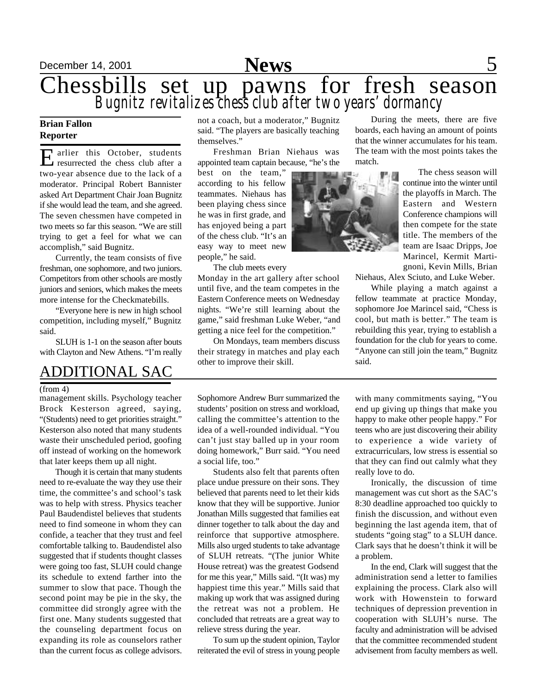

# December 14, 2001 **Space 2001 Space 2001 Space 2001**

# Chessbills set up pawns for fresh season *Bugnitz revitalizes chess club after two years' dormancy*

#### **Brian Fallon Reporter**

E arlier this October, students arlier this October, students two-year absence due to the lack of a moderator. Principal Robert Bannister asked Art Department Chair Joan Bugnitz if she would lead the team, and she agreed. The seven chessmen have competed in two meets so far this season. "We are still trying to get a feel for what we can accomplish," said Bugnitz.

Currently, the team consists of five freshman, one sophomore, and two juniors. Competitors from other schools are mostly juniors and seniors, which makes the meets more intense for the Checkmatebills.

"Everyone here is new in high school competition, including myself," Bugnitz said.

SLUH is 1-1 on the season after bouts with Clayton and New Athens. "I'm really

## ADDITIONAL SAC

#### (from 4)

management skills. Psychology teacher Brock Kesterson agreed, saying, "(Students) need to get priorities straight." Kesterson also noted that many students waste their unscheduled period, goofing off instead of working on the homework that later keeps them up all night.

Though it is certain that many students need to re-evaluate the way they use their time, the committee's and school's task was to help with stress. Physics teacher Paul Baudendistel believes that students need to find someone in whom they can confide, a teacher that they trust and feel comfortable talking to. Baudendistel also suggested that if students thought classes were going too fast, SLUH could change its schedule to extend farther into the summer to slow that pace. Though the second point may be pie in the sky, the committee did strongly agree with the first one. Many students suggested that the counseling department focus on expanding its role as counselors rather than the current focus as college advisors. not a coach, but a moderator," Bugnitz said. "The players are basically teaching themselves."

Freshman Brian Niehaus was appointed team captain because, "he's the

best on the team," according to his fellow teammates. Niehaus has been playing chess since he was in first grade, and has enjoyed being a part of the chess club. "It's an easy way to meet new people," he said.

The club meets every

Monday in the art gallery after school until five, and the team competes in the Eastern Conference meets on Wednesday nights. "We're still learning about the game," said freshman Luke Weber, "and getting a nice feel for the competition."

On Mondays, team members discuss their strategy in matches and play each other to improve their skill.

Sophomore Andrew Burr summarized the students' position on stress and workload, calling the committee's attention to the idea of a well-rounded individual. "You can't just stay balled up in your room doing homework," Burr said. "You need a social life, too."

Students also felt that parents often place undue pressure on their sons. They believed that parents need to let their kids know that they will be supportive. Junior Jonathan Mills suggested that families eat dinner together to talk about the day and reinforce that supportive atmosphere. Mills also urged students to take advantage of SLUH retreats. "(The junior White House retreat) was the greatest Godsend for me this year," Mills said. "(It was) my happiest time this year." Mills said that making up work that was assigned during the retreat was not a problem. He concluded that retreats are a great way to relieve stress during the year.

To sum up the student opinion, Taylor reiterated the evil of stress in young people

During the meets, there are five boards, each having an amount of points that the winner accumulates for his team. The team with the most points takes the match.

> The chess season will continue into the winter until the playoffs in March. The Eastern and Western Conference champions will then compete for the state title. The members of the team are Isaac Dripps, Joe Marincel, Kermit Martignoni, Kevin Mills, Brian

Niehaus, Alex Sciuto, and Luke Weber.

While playing a match against a fellow teammate at practice Monday, sophomore Joe Marincel said, "Chess is cool, but math is better." The team is rebuilding this year, trying to establish a foundation for the club for years to come. "Anyone can still join the team," Bugnitz said.

with many commitments saying, "You end up giving up things that make you happy to make other people happy." For teens who are just discovering their ability to experience a wide variety of extracurriculars, low stress is essential so that they can find out calmly what they really love to do.

Ironically, the discussion of time management was cut short as the SAC's 8:30 deadline approached too quickly to finish the discussion, and without even beginning the last agenda item, that of students "going stag" to a SLUH dance. Clark says that he doesn't think it will be a problem.

In the end, Clark will suggest that the administration send a letter to families explaining the process. Clark also will work with Howenstein to forward techniques of depression prevention in cooperation with SLUH's nurse. The faculty and administration will be advised that the committee recommended student advisement from faculty members as well.

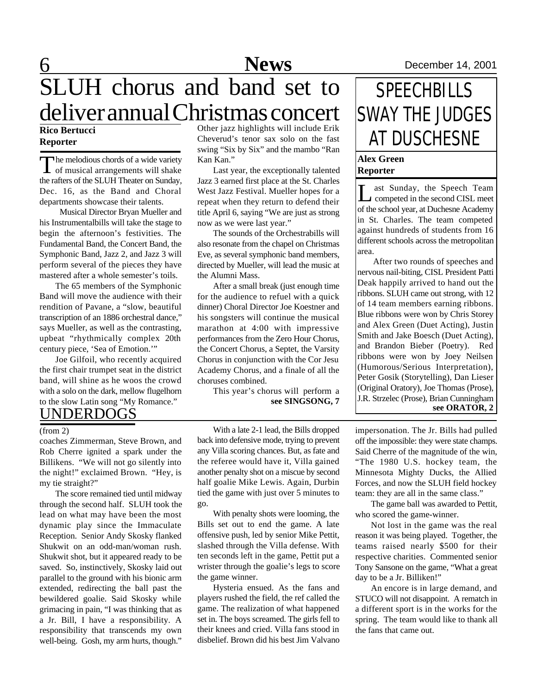# **News**

# 6 **Sports** December 14, 2001 SLUH chorus and band set to deliver annual Christmas concert

#### **Rico Bertucci Reporter**

The melodious chords of a wide variety<br>of musical arrangements will shake The melodious chords of a wide variety the rafters of the SLUH Theater on Sunday, Dec. 16, as the Band and Choral departments showcase their talents.

 Musical Director Bryan Mueller and his Instrumentalbills will take the stage to begin the afternoon's festivities. The Fundamental Band, the Concert Band, the Symphonic Band, Jazz 2, and Jazz 3 will perform several of the pieces they have mastered after a whole semester's toils.

The 65 members of the Symphonic Band will move the audience with their rendition of Pavane, a "slow, beautiful transcription of an 1886 orchestral dance," says Mueller, as well as the contrasting, upbeat "rhythmically complex 20th century piece, 'Sea of Emotion.'"

Joe Gilfoil, who recently acquired the first chair trumpet seat in the district band, will shine as he woos the crowd with a solo on the dark, mellow flugelhorn to the slow Latin song "My Romance."

### UNDERDOGS

coaches Zimmerman, Steve Brown, and Rob Cherre ignited a spark under the Billikens. "We will not go silently into the night!" exclaimed Brown. "Hey, is my tie straight?"

The score remained tied until midway through the second half. SLUH took the lead on what may have been the most dynamic play since the Immaculate Reception. Senior Andy Skosky flanked Shukwit on an odd-man/woman rush. Shukwit shot, but it appeared ready to be saved. So, instinctively, Skosky laid out parallel to the ground with his bionic arm extended, redirecting the ball past the bewildered goalie. Said Skosky while grimacing in pain, "I was thinking that as a Jr. Bill, I have a responsibility. A responsibility that transcends my own well-being. Gosh, my arm hurts, though."

Other jazz highlights will include Erik Cheverud's tenor sax solo on the fast swing "Six by Six" and the mambo "Ran Kan Kan."

Last year, the exceptionally talented Jazz 3 earned first place at the St. Charles West Jazz Festival. Mueller hopes for a repeat when they return to defend their title April 6, saying "We are just as strong now as we were last year."

The sounds of the Orchestrabills will also resonate from the chapel on Christmas Eve, as several symphonic band members, directed by Mueller, will lead the music at the Alumni Mass.

After a small break (just enough time for the audience to refuel with a quick dinner) Choral Director Joe Koestner and his songsters will continue the musical marathon at 4:00 with impressive performances from the Zero Hour Chorus, the Concert Chorus, a Septet, the Varsity Chorus in conjunction with the Cor Jesu Academy Chorus, and a finale of all the choruses combined.

> This year's chorus will perform a **see SINGSONG, 7**

With a late 2-1 lead, the Bills dropped back into defensive mode, trying to prevent any Villa scoring chances. But, as fate and the referee would have it, Villa gained another penalty shot on a miscue by second half goalie Mike Lewis. Again, Durbin tied the game with just over 5 minutes to go. (from 2) With a late 2-1 lead, the Bills dropped impersonation. The Jr. Bills had pulled

> With penalty shots were looming, the Bills set out to end the game. A late offensive push, led by senior Mike Pettit, slashed through the Villa defense. With ten seconds left in the game, Pettit put a wrister through the goalie's legs to score the game winner.

> Hysteria ensued. As the fans and players rushed the field, the ref called the game. The realization of what happened set in. The boys screamed. The girls fell to their knees and cried. Villa fans stood in disbelief. Brown did his best Jim Valvano

# **SPEECHBILLS** SWAY THE JUDGES AT DUSCHESNE

#### **Alex Green Reporter**

Let Sunday, the Speech Team<br>
competed in the second CISL meet competed in the second CISL meet of the school year, at Duchesne Academy in St. Charles. The team competed against hundreds of students from 16 different schools across the metropolitan area.

After two rounds of speeches and nervous nail-biting, CISL President Patti Deak happily arrived to hand out the ribbons. SLUH came out strong, with 12 of 14 team members earning ribbons. Blue ribbons were won by Chris Storey and Alex Green (Duet Acting), Justin Smith and Jake Boesch (Duet Acting), and Brandon Bieber (Poetry). Red ribbons were won by Joey Neilsen (Humorous/Serious Interpretation), Peter Gosik (Storytelling), Dan Lieser (Original Oratory), Joe Thomas (Prose), J.R. Strzelec (Prose), Brian Cunningham **see ORATOR, 2**

off the impossible: they were state champs. Said Cherre of the magnitude of the win, "The 1980 U.S. hockey team, the Minnesota Mighty Ducks, the Allied Forces, and now the SLUH field hockey team: they are all in the same class."

The game ball was awarded to Pettit, who scored the game-winner.

Not lost in the game was the real reason it was being played. Together, the teams raised nearly \$500 for their respective charities. Commented senior Tony Sansone on the game, "What a great day to be a Jr. Billiken!"

An encore is in large demand, and STUCO will not disappoint. A rematch in a different sport is in the works for the spring. The team would like to thank all the fans that came out.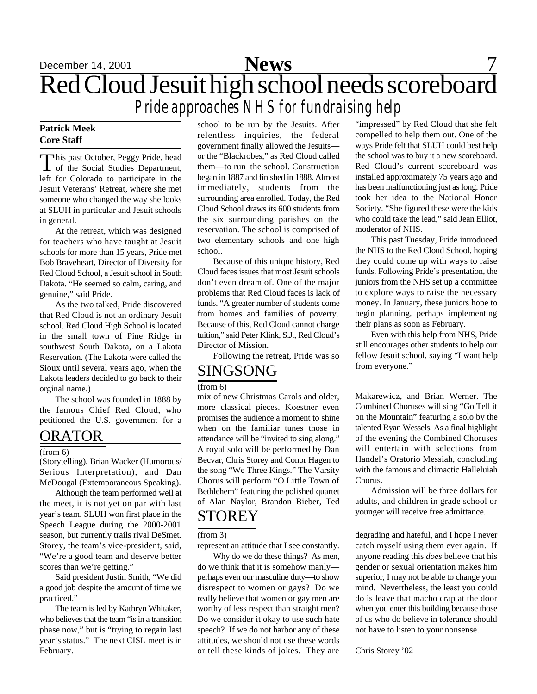December 14, 2001 **Space 201 Space 201 Space 201 Space 31 Space 31 Space 31** Red Cloud Jesuit high school needs scoreboard *Pride approaches NHS for fundraising help* **News**

#### **Patrick Meek Core Staff**

This past October, Peggy Pride, head<br>of the Social Studies Department, his past October, Peggy Pride, head left for Colorado to participate in the Jesuit Veterans' Retreat, where she met someone who changed the way she looks at SLUH in particular and Jesuit schools in general.

At the retreat, which was designed for teachers who have taught at Jesuit schools for more than 15 years, Pride met Bob Braveheart, Director of Diversity for Red Cloud School, a Jesuit school in South Dakota. "He seemed so calm, caring, and genuine," said Pride.

As the two talked, Pride discovered that Red Cloud is not an ordinary Jesuit school. Red Cloud High School is located in the small town of Pine Ridge in southwest South Dakota, on a Lakota Reservation. (The Lakota were called the Sioux until several years ago, when the Lakota leaders decided to go back to their orginal name.)

The school was founded in 1888 by the famous Chief Red Cloud, who petitioned the U.S. government for a

### ORATOR

#### (from 6)

(Storytelling), Brian Wacker (Humorous/ Serious Interpretation), and Dan McDougal (Extemporaneous Speaking).

Although the team performed well at the meet, it is not yet on par with last year's team. SLUH won first place in the Speech League during the 2000-2001 season, but currently trails rival DeSmet. Storey, the team's vice-president, said, "We're a good team and deserve better scores than we're getting."

Said president Justin Smith, "We did a good job despite the amount of time we practiced."

The team is led by Kathryn Whitaker, who believes that the team "is in a transition phase now," but is "trying to regain last year's status." The next CISL meet is in February.

school to be run by the Jesuits. After relentless inquiries, the federal government finally allowed the Jesuits or the "Blackrobes," as Red Cloud called them—to run the school. Construction began in 1887 and finished in 1888. Almost immediately, students from the surrounding area enrolled. Today, the Red Cloud School draws its 600 students from the six surrounding parishes on the reservation. The school is comprised of two elementary schools and one high school.

Because of this unique history, Red Cloud faces issues that most Jesuit schools don't even dream of. One of the major problems that Red Cloud faces is lack of funds. "A greater number of students come from homes and families of poverty. Because of this, Red Cloud cannot charge tuition," said Peter Klink, S.J., Red Cloud's Director of Mission.

Following the retreat, Pride was so

### SINGSONG

(from 6)

mix of new Christmas Carols and older, more classical pieces. Koestner even promises the audience a moment to shine when on the familiar tunes those in attendance will be "invited to sing along." A royal solo will be performed by Dan Becvar, Chris Storey and Conor Hagen to the song "We Three Kings." The Varsity Chorus will perform "O Little Town of Bethlehem" featuring the polished quartet of Alan Naylor, Brandon Bieber, Ted

#### (from 3)

represent an attitude that I see constantly.

Why do we do these things? As men, do we think that it is somehow manly perhaps even our masculine duty—to show disrespect to women or gays? Do we really believe that women or gay men are worthy of less respect than straight men? Do we consider it okay to use such hate speech? If we do not harbor any of these attitudes, we should not use these words or tell these kinds of jokes. They are

"impressed" by Red Cloud that she felt compelled to help them out. One of the ways Pride felt that SLUH could best help the school was to buy it a new scoreboard. Red Cloud's current scoreboard was installed approximately 75 years ago and has been malfunctioning just as long. Pride took her idea to the National Honor Society. "She figured these were the kids who could take the lead," said Jean Elliot, moderator of NHS.

This past Tuesday, Pride introduced the NHS to the Red Cloud School, hoping they could come up with ways to raise funds. Following Pride's presentation, the juniors from the NHS set up a committee to explore ways to raise the necessary money. In January, these juniors hope to begin planning, perhaps implementing their plans as soon as February.

Even with this help from NHS, Pride still encourages other students to help our fellow Jesuit school, saying "I want help from everyone."

Makarewicz, and Brian Werner. The Combined Choruses will sing "Go Tell it on the Mountain" featuring a solo by the talented Ryan Wessels. As a final highlight of the evening the Combined Choruses will entertain with selections from Handel's Oratorio Messiah, concluding with the famous and climactic Halleluiah Chorus.

Admission will be three dollars for adults, and children in grade school or STOREY younger will receive free admittance.

> degrading and hateful, and I hope I never catch myself using them ever again. If anyone reading this *does* believe that his gender or sexual orientation makes him superior, I may not be able to change your mind. Nevertheless, the least you could do is leave that macho crap at the door when you enter this building because those of us who do believe in tolerance should not have to listen to your nonsense.

Chris Storey '02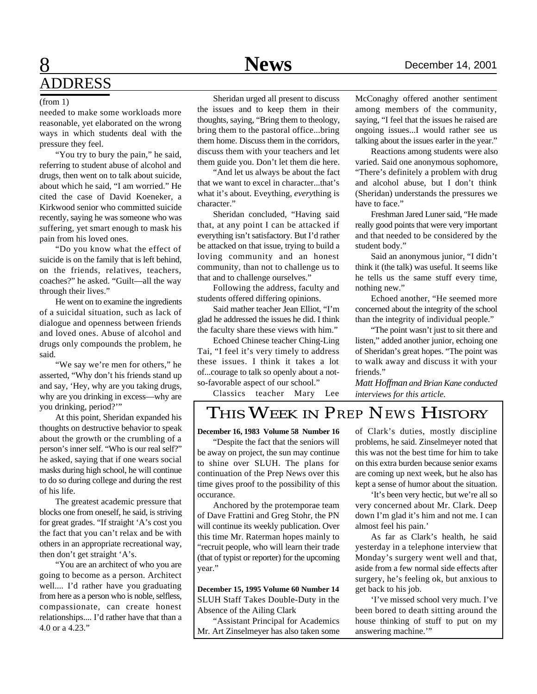# 8 **Sports** December 14, 2001 ADDRESS

#### (from 1)

needed to make some workloads more reasonable, yet elaborated on the wrong ways in which students deal with the pressure they feel.

"You try to bury the pain," he said, referring to student abuse of alcohol and drugs, then went on to talk about suicide, about which he said, "I am worried." He cited the case of David Koeneker, a Kirkwood senior who committed suicide recently, saying he was someone who was suffering, yet smart enough to mask his pain from his loved ones.

"Do you know what the effect of suicide is on the family that is left behind, on the friends, relatives, teachers, coaches?" he asked. "Guilt—all the way through their lives."

He went on to examine the ingredients of a suicidal situation, such as lack of dialogue and openness between friends and loved ones. Abuse of alcohol and drugs only compounds the problem, he said.

"We say we're men for others," he asserted, "Why don't his friends stand up and say, 'Hey, why are you taking drugs, why are you drinking in excess—why are you drinking, period?'"

At this point, Sheridan expanded his thoughts on destructive behavior to speak about the growth or the crumbling of a person's inner self. "Who is our real self?" he asked, saying that if one wears social masks during high school, he will continue to do so during college and during the rest of his life.

The greatest academic pressure that blocks one from oneself, he said, is striving for great grades. "If straight 'A's cost you the fact that you can't relax and be with others in an appropriate recreational way, then don't get straight 'A's.

"You are an architect of who you are going to become as a person. Architect well.... I'd rather have you graduating from here as a person who is noble, selfless, compassionate, can create honest relationships.... I'd rather have that than a 4.0 or a 4.23."

Sheridan urged all present to discuss the issues and to keep them in their thoughts, saying, "Bring them to theology, bring them to the pastoral office...bring them home. Discuss them in the corridors, discuss them with your teachers and let them guide you. Don't let them die here.

"And let us always be about the fact that we want to excel in character...that's what it's about. Eveything, *every*thing is character."

Sheridan concluded, "Having said that, at any point I can be attacked if everything isn't satisfactory. But I'd rather be attacked on that issue, trying to build a loving community and an honest community, than not to challenge us to that and to challenge ourselves."

Following the address, faculty and students offered differing opinions.

Said mather teacher Jean Elliot, "I'm glad he addressed the issues he did. I think the faculty share these views with him."

Echoed Chinese teacher Ching-Ling Tai, "I feel it's very timely to address these issues. I think it takes a lot of...courage to talk so openly about a notso-favorable aspect of our school."

Classics teacher Mary Lee

McConaghy offered another sentiment among members of the community, saying, "I feel that the issues he raised are ongoing issues...I would rather see us talking about the issues earler in the year."

Reactions among students were also varied. Said one anonymous sophomore, "There's definitely a problem with drug and alcohol abuse, but I don't think (Sheridan) understands the pressures we have to face."

Freshman Jared Luner said, "He made really good points that were very important and that needed to be considered by the student body."

Said an anonymous junior, "I didn't think it (the talk) was useful. It seems like he tells us the same stuff every time, nothing new."

Echoed another, "He seemed more concerned about the integrity of the school than the integrity of individual people."

"The point wasn't just to sit there and listen," added another junior, echoing one of Sheridan's great hopes. "The point was to walk away and discuss it with your friends."

*Matt Hoffman and Brian Kane conducted interviews for this article.*

# THIS WEEK IN *PREP NEWS* HISTORY

#### **December 16, 1983 Volume 58 Number 16**

"Despite the fact that the seniors will be away on project, the sun may continue to shine over SLUH. The plans for continuation of the Prep News over this time gives proof to the possibility of this occurance.

Anchored by the protemporae team of Dave Frattini and Greg Stohr, the PN will continue its weekly publication. Over this time Mr. Raterman hopes mainly to "recruit people, who will learn their trade (that of typist or reporter) for the upcoming year."

**December 15, 1995 Volume 60 Number 14** SLUH Staff Takes Double-Duty in the Absence of the Ailing Clark

"Assistant Principal for Academics Mr. Art Zinselmeyer has also taken some of Clark's duties, mostly discipline problems, he said. Zinselmeyer noted that this was not the best time for him to take on this extra burden because senior exams are coming up next week, but he also has kept a sense of humor about the situation.

'It's been very hectic, but we're all so very concerned about Mr. Clark. Deep down I'm glad it's him and not me. I can almost feel his pain.'

As far as Clark's health, he said yesterday in a telephone interview that Monday's surgery went well and that, aside from a few normal side effects after surgery, he's feeling ok, but anxious to get back to his job.

'I've missed school very much. I've been bored to death sitting around the house thinking of stuff to put on my answering machine.'"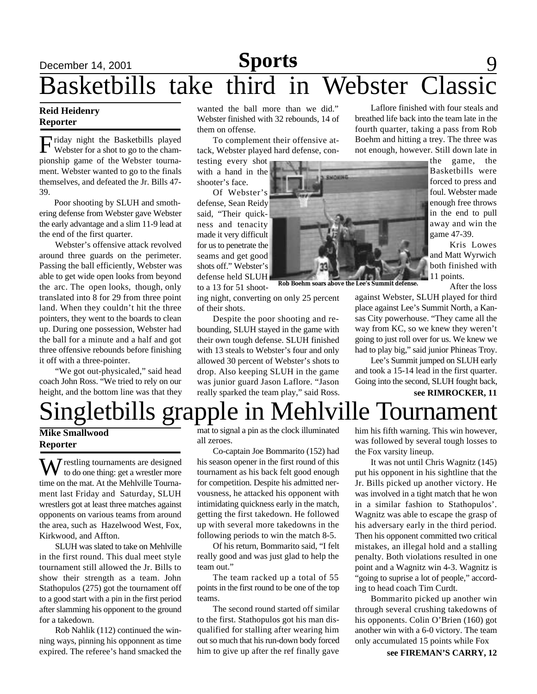## December 14, 2001 **Sports** 9 Basketbills take third in Webster Class **Sports**

#### **Reid Heidenry Reporter**

Friday night the Basketbills played<br>Webster for a shot to go to the chamriday night the Basketbills played pionship game of the Webster tournament. Webster wanted to go to the finals themselves, and defeated the Jr. Bills 47- 39.

Poor shooting by SLUH and smothering defense from Webster gave Webster the early advantage and a slim 11-9 lead at the end of the first quarter.

Webster's offensive attack revolved around three guards on the perimeter. Passing the ball efficiently, Webster was able to get wide open looks from beyond the arc. The open looks, though, only translated into 8 for 29 from three point land. When they couldn't hit the three pointers, they went to the boards to clean up. During one possession, Webster had the ball for a minute and a half and got three offensive rebounds before finishing it off with a three-pointer.

"We got out-physicaled," said head coach John Ross. "We tried to rely on our height, and the bottom line was that they

wanted the ball more than we did." Webster finished with 32 rebounds, 14 of them on offense.

To complement their offensive attack, Webster played hard defense, con-

testing every shot with a hand in the shooter's face.

Of Webster's defense, Sean Reidy said, "Their quickness and tenacity made it very difficult for us to penetrate the seams and get good shots off." Webster's defense held SLUH

to a 13 for 51 shooting night, converting on only 25 percent of their shots.

Despite the poor shooting and rebounding, SLUH stayed in the game with their own tough defense. SLUH finished with 13 steals to Webster's four and only allowed 30 percent of Webster's shots to drop. Also keeping SLUH in the game was junior guard Jason Laflore. "Jason really sparked the team play," said Ross.

Laflore finished with four steals and breathed life back into the team late in the fourth quarter, taking a pass from Rob Boehm and hitting a trey. The three was not enough, however. Still down late in

> the game, the Basketbills were forced to press and foul. Webster made enough free throws in the end to pull away and win the game 47-39.

> Kris Lowes and Matt Wyrwich both finished with 11 points.

> > After the loss

against Webster, SLUH played for third place against Lee's Summit North, a Kansas City powerhouse. "They came all the way from KC, so we knew they weren't going to just roll over for us. We knew we had to play big," said junior Phineas Troy.

Lee's Summit jumped on SLUH early and took a 15-14 lead in the first quarter. Going into the second, SLUH fought back, **see RIMROCKER, 11**



**Rob Boehm soars above the Lee's Summit defense.**

Singletbills grapple in Mehlville Tournamen

#### **Mike Smallwood Reporter**

M restling tournaments are designed to do one thing: get a wrestler more time on the mat. At the Mehlville Tournament last Friday and Saturday, SLUH wrestlers got at least three matches against opponents on various teams from around the area, such as Hazelwood West, Fox, Kirkwood, and Affton.

SLUH was slated to take on Mehlville in the first round. This dual meet style tournament still allowed the Jr. Bills to show their strength as a team. John Stathopulos (275) got the tournament off to a good start with a pin in the first period after slamming his opponent to the ground for a takedown.

Rob Nahlik (112) continued the winning ways, pinning his opponnent as time expired. The referee's hand smacked the mat to signal a pin as the clock illuminated all zeroes.

Co-captain Joe Bommarito (152) had his season opener in the first round of this tournament as his back felt good enough for competition. Despite his admitted nervousness, he attacked his opponent with intimidating quickness early in the match, getting the first takedown. He followed up with several more takedowns in the following periods to win the match 8-5.

Of his return, Bommarito said, "I felt really good and was just glad to help the team out."

The team racked up a total of 55 points in the first round to be one of the top teams.

The second round started off similar to the first. Stathopulos got his man disqualified for stalling after wearing him out so much that his run-down body forced him to give up after the ref finally gave him his fifth warning. This win however, was followed by several tough losses to the Fox varsity lineup.

It was not until Chris Wagnitz (145) put his opponent in his sightline that the Jr. Bills picked up another victory. He was involved in a tight match that he won in a similar fashion to Stathopulos'. Wagnitz was able to escape the grasp of his adversary early in the third period. Then his opponent committed two critical mistakes, an illegal hold and a stalling penalty. Both violations resulted in one point and a Wagnitz win 4-3. Wagnitz is "going to suprise a lot of people," according to head coach Tim Curdt.

Bommarito picked up another win through several crushing takedowns of his opponents. Colin O'Brien (160) got another win with a 6-0 victory. The team only accumulated 15 points while Fox

**see FIREMAN'S CARRY, 12**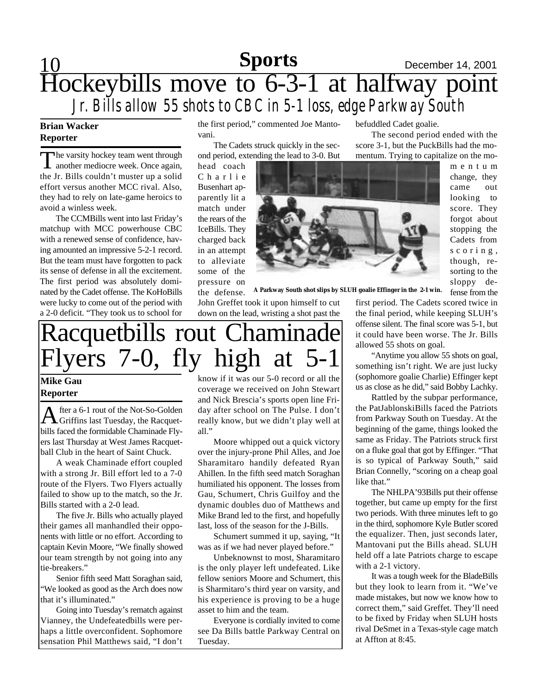## 10 **Sports** December 14, 2001 Hockeybills move to 6-3-1 at halfway point *Jr. Bills allow 55 shots to CBC in 5-1 loss, edge Parkway South* **Sports**

### **Brian Wacker Reporter**

The varsity hockey team went through<br>another mediocre week. Once again, he varsity hockey team went through the Jr. Bills couldn't muster up a solid effort versus another MCC rival. Also, they had to rely on late-game heroics to avoid a winless week.

The CCMBills went into last Friday's matchup with MCC powerhouse CBC with a renewed sense of confidence, having amounted an impressive 5-2-1 record. But the team must have forgotten to pack its sense of defense in all the excitement. The first period was absolutely dominated by the Cadet offense. The KoHoBills were lucky to come out of the period with a 2-0 deficit. "They took us to school for the first period," commented Joe Mantovani.

The Cadets struck quickly in the second period, extending the lead to 3-0. But

head coach C h a r l i e Busenhart apparently lit a match under the rears of the IceBills. They charged back in an attempt to alleviate some of the pressure on the defense.



fense from the **A Parkway South shot slips by SLUH goalie Effinger in the 2-1 win.**

John Greffet took it upon himself to cut down on the lead, wristing a shot past the first period. The Cadets scored twice in the final period, while keeping SLUH's offense silent. The final score was 5-1, but it could have been worse. The Jr. Bills allowed 55 shots on goal.

befuddled Cadet goalie.

The second period ended with the score 3-1, but the PuckBills had the momentum. Trying to capitalize on the mo-

"Anytime you allow 55 shots on goal, something isn't right. We are just lucky (sophomore goalie Charlie) Effinger kept us as close as he did," said Bobby Lachky.

Rattled by the subpar performance, the PatJablonskiBills faced the Patriots from Parkway South on Tuesday. At the beginning of the game, things looked the same as Friday. The Patriots struck first on a fluke goal that got by Effinger. "That is so typical of Parkway South," said Brian Connelly, "scoring on a cheap goal like that."

The NHLPA'93Bills put their offense together, but came up empty for the first two periods. With three minutes left to go in the third, sophomore Kyle Butler scored the equalizer. Then, just seconds later, Mantovani put the Bills ahead. SLUH held off a late Patriots charge to escape with a 2-1 victory.

It was a tough week for the BladeBills but they look to learn from it. "We've made mistakes, but now we know how to correct them," said Greffet. They'll need to be fixed by Friday when SLUH hosts rival DeSmet in a Texas-style cage match at Affton at 8:45.

# Racquetbills rout Chaminade Flyers 7-0, fly high at 5-1

#### **Mike Gau Reporter**

A fter a 6-1 rout of the Not-So-Golden<br>Griffins last Tuesday, the Racquetfter a 6-1 rout of the Not-So-Golden bills faced the formidable Chaminade Flyers last Thursday at West James Racquetball Club in the heart of Saint Chuck.

A weak Chaminade effort coupled with a strong Jr. Bill effort led to a 7-0 route of the Flyers. Two Flyers actually failed to show up to the match, so the Jr. Bills started with a 2-0 lead.

The five Jr. Bills who actually played their games all manhandled their opponents with little or no effort. According to captain Kevin Moore, "We finally showed our team strength by not going into any tie-breakers."

Senior fifth seed Matt Soraghan said, "We looked as good as the Arch does now that it's illuminated."

Going into Tuesday's rematch against Vianney, the Undefeatedbills were perhaps a little overconfident. Sophomore sensation Phil Matthews said, "I don't

know if it was our 5-0 record or all the coverage we received on John Stewart and Nick Brescia's sports open line Friday after school on The Pulse. I don't really know, but we didn't play well at all."

Moore whipped out a quick victory over the injury-prone Phil Alles, and Joe Sharamitaro handily defeated Ryan Ahillen. In the fifth seed match Soraghan humiliated his opponent. The losses from Gau, Schumert, Chris Guilfoy and the dynamic doubles duo of Matthews and Mike Brand led to the first, and hopefully last, loss of the season for the J-Bills.

Schumert summed it up, saying, "It was as if we had never played before."

Unbeknownst to most, Sharamitaro is the only player left undefeated. Like fellow seniors Moore and Schumert, this is Sharmitaro's third year on varsity, and his experience is proving to be a huge asset to him and the team.

Everyone is cordially invited to come see Da Bills battle Parkway Central on Tuesday.

score. They forgot about stopping the Cadets from s c o r i n g , though, resorting to the sloppy de-

m e n t u m change, they came out looking to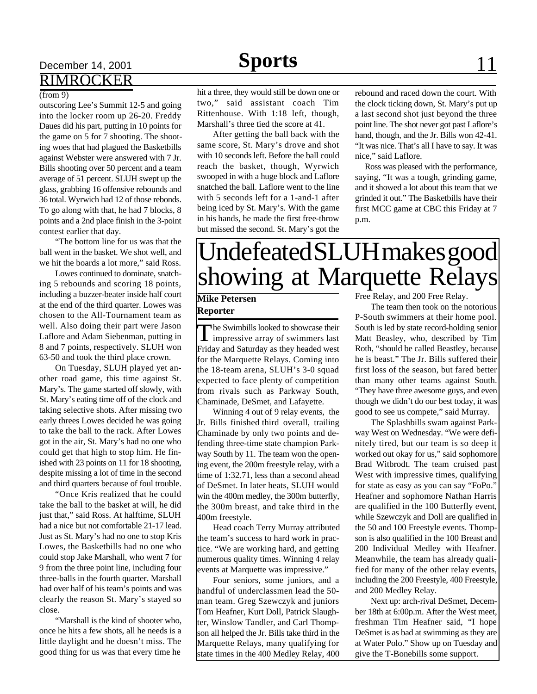# December 14, 2001 **Sports** 11 RIMROCKER

#### (from 9)

outscoring Lee's Summit 12-5 and going into the locker room up 26-20. Freddy Daues did his part, putting in 10 points for the game on 5 for 7 shooting. The shooting woes that had plagued the Basketbills against Webster were answered with 7 Jr. Bills shooting over 50 percent and a team average of 51 percent. SLUH swept up the glass, grabbing 16 offensive rebounds and 36 total. Wyrwich had 12 of those rebonds. To go along with that, he had 7 blocks, 8 points and a 2nd place finish in the 3-point contest earlier that day.

"The bottom line for us was that the ball went in the basket. We shot well, and we hit the boards a lot more," said Ross.

Lowes continued to dominate, snatching 5 rebounds and scoring 18 points, including a buzzer-beater inside half court at the end of the third quarter. Lowes was chosen to the All-Tournament team as well. Also doing their part were Jason Laflore and Adam Siebenman, putting in 8 and 7 points, respectively. SLUH won 63-50 and took the third place crown.

On Tuesday, SLUH played yet another road game, this time against St. Mary's. The game started off slowly, with St. Mary's eating time off of the clock and taking selective shots. After missing two early threes Lowes decided he was going to take the ball to the rack. After Lowes got in the air, St. Mary's had no one who could get that high to stop him. He finished with 23 points on 11 for 18 shooting, despite missing a lot of time in the second and third quarters because of foul trouble.

"Once Kris realized that he could take the ball to the basket at will, he did just that," said Ross. At halftime, SLUH had a nice but not comfortable 21-17 lead. Just as St. Mary's had no one to stop Kris Lowes, the Basketbills had no one who could stop Jake Marshall, who went 7 for 9 from the three point line, including four three-balls in the fourth quarter. Marshall had over half of his team's points and was clearly the reason St. Mary's stayed so close.

"Marshall is the kind of shooter who, once he hits a few shots, all he needs is a little daylight and he doesn't miss. The good thing for us was that every time he

# **Sports**

hit a three, they would still be down one or two," said assistant coach Tim Rittenhouse. With 1:18 left, though, Marshall's three tied the score at 41.

After getting the ball back with the same score, St. Mary's drove and shot with 10 seconds left. Before the ball could reach the basket, though, Wyrwich swooped in with a huge block and Laflore snatched the ball. Laflore went to the line with 5 seconds left for a 1-and-1 after being iced by St. Mary's. With the game in his hands, he made the first free-throw but missed the second. St. Mary's got the rebound and raced down the court. With the clock ticking down, St. Mary's put up a last second shot just beyond the three point line. The shot never got past Laflore's hand, though, and the Jr. Bills won 42-41. "It was nice. That's all I have to say. It was nice," said Laflore.

 Ross was pleased with the performance, saying, "It was a tough, grinding game, and it showed a lot about this team that we grinded it out." The Basketbills have their first MCC game at CBC this Friday at 7 p.m.

# Undefeated SLUH makes good showing at Marquette Relays

#### **Mike Petersen Reporter**

The Swimbills looked to showcase their he Swimbills looked to showcase their Friday and Saturday as they headed west for the Marquette Relays. Coming into the 18-team arena, SLUH's 3-0 squad expected to face plenty of competition from rivals such as Parkway South, Chaminade, DeSmet, and Lafayette.

Winning 4 out of 9 relay events, the Jr. Bills finished third overall, trailing Chaminade by only two points and defending three-time state champion Parkway South by 11. The team won the opening event, the 200m freestyle relay, with a time of 1:32.71, less than a second ahead of DeSmet. In later heats, SLUH would win the 400m medley, the 300m butterfly, the 300m breast, and take third in the 400m freestyle.

Head coach Terry Murray attributed the team's success to hard work in practice. "We are working hard, and getting numerous quality times. Winning 4 relay events at Marquette was impressive."

Four seniors, some juniors, and a handful of underclassmen lead the 50 man team. Greg Szewczyk and juniors Tom Heafner, Kurt Doll, Patrick Slaughter, Winslow Tandler, and Carl Thompson all helped the Jr. Bills take third in the Marquette Relays, many qualifying for state times in the 400 Medley Relay, 400 Free Relay, and 200 Free Relay.

The team then took on the notorious P-South swimmers at their home pool. South is led by state record-holding senior Matt Beasley, who, described by Tim Roth, "should be called Beastley, because he is beast." The Jr. Bills suffered their first loss of the season, but fared better than many other teams against South. "They have three awesome guys, and even though we didn't do our best today, it was good to see us compete," said Murray.

The Splashbills swam against Parkway West on Wednesday. "We were definitely tired, but our team is so deep it worked out okay for us," said sophomore Brad Witbrodt. The team cruised past West with impressive times, qualifying for state as easy as you can say "FoPo." Heafner and sophomore Nathan Harris are qualified in the 100 Butterfly event, while Szewczyk and Doll are qualified in the 50 and 100 Freestyle events. Thompson is also qualified in the 100 Breast and 200 Individual Medley with Heafner. Meanwhile, the team has already qualified for many of the other relay events, including the 200 Freestyle, 400 Freestyle, and 200 Medley Relay.

Next up: arch-rival DeSmet, December 18th at 6:00p.m. After the West meet, freshman Tim Heafner said, "I hope DeSmet is as bad at swimming as they are at Water Polo." Show up on Tuesday and give the T-Bonebills some support.